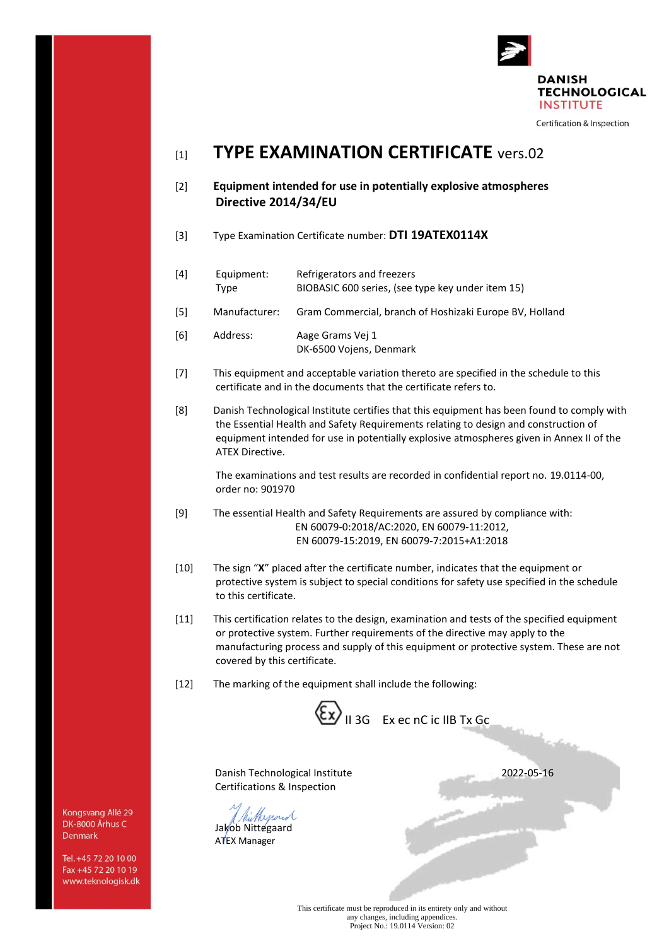

Certification & Inspection

## [1] **TYPE EXAMINATION CERTIFICATE** vers.02

- [2] **Equipment intended for use in potentially explosive atmospheres Directive 2014/34/EU**
- [3] Type Examination Certificate number: **DTI 19ATEX0114X**
- [4] Equipment: Refrigerators and freezers Type BIOBASIC 600 series, (see type key under item 15) [5] Manufacturer: Gram Commercial, branch of Hoshizaki Europe BV, Holland [6] Address: Aage Grams Vej 1
- DK-6500 Vojens, Denmark
- [7] This equipment and acceptable variation thereto are specified in the schedule to this certificate and in the documents that the certificate refers to.
- [8] Danish Technological Institute certifies that this equipment has been found to comply with the Essential Health and Safety Requirements relating to design and construction of equipment intended for use in potentially explosive atmospheres given in Annex II of the ATEX Directive.

The examinations and test results are recorded in confidential report no. 19.0114-00, order no: 901970

- [9] The essential Health and Safety Requirements are assured by compliance with: EN 60079-0:2018/AC:2020, EN 60079-11:2012, EN 60079-15:2019, EN 60079-7:2015+A1:2018
- [10] The sign "**X**" placed after the certificate number, indicates that the equipment or protective system is subject to special conditions for safety use specified in the schedule to this certificate.
- [11] This certification relates to the design, examination and tests of the specified equipment or protective system. Further requirements of the directive may apply to the manufacturing process and supply of this equipment or protective system. These are not covered by this certificate.
- [12] The marking of the equipment shall include the following:

 $\langle \xi_{\mathbf{X}} \rangle$  II 3G Ex ec nC ic IIB Tx Gc

Danish Technological Institute 2022-05-16 Certifications & Inspection

Willenard Jakob Nittegaard

ATEX Manager

This certificate must be reproduced in its entirety only and without any changes, including appendices. Project No.: 19.0114 Version: 02

Kongsvang Allé 29 DK-8000 Århus C Denmark

Tel. +45 72 20 10 00 Fax +45 72 20 10 19 www.teknologisk.dk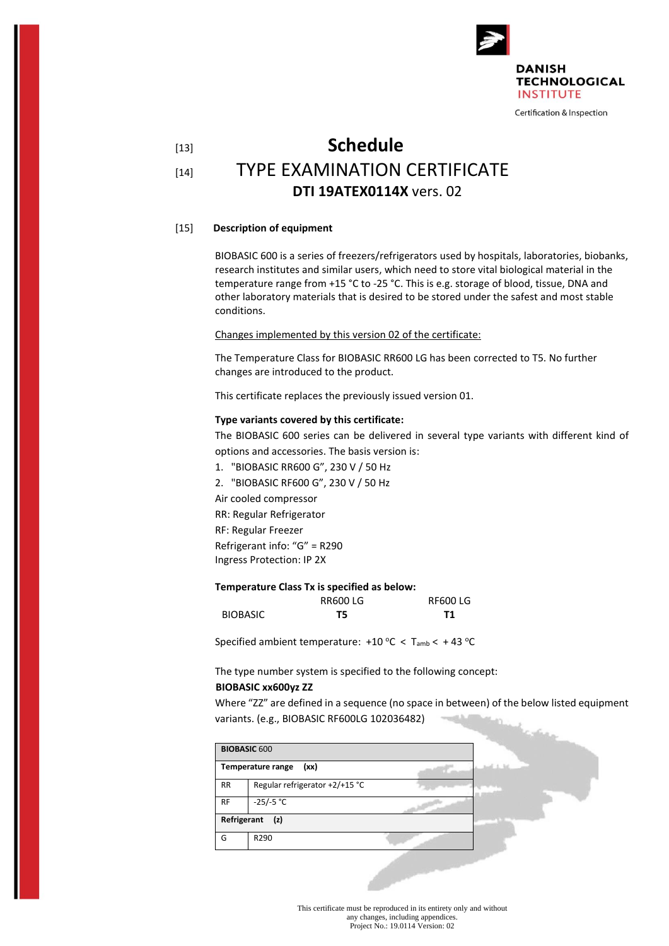

# [13] **Schedule** [14] TYPE EXAMINATION CERTIFICATE **DTI 19ATEX0114X** vers. 02

#### [15] **Description of equipment**

BIOBASIC 600 is a series of freezers/refrigerators used by hospitals, laboratories, biobanks, research institutes and similar users, which need to store vital biological material in the temperature range from +15 °C to -25 °C. This is e.g. storage of blood, tissue, DNA and other laboratory materials that is desired to be stored under the safest and most stable conditions.

Changes implemented by this version 02 of the certificate:

The Temperature Class for BIOBASIC RR600 LG has been corrected to T5. No further changes are introduced to the product.

This certificate replaces the previously issued version 01.

#### **Type variants covered by this certificate:**

The BIOBASIC 600 series can be delivered in several type variants with different kind of options and accessories. The basis version is:

1. "BIOBASIC RR600 G", 230 V / 50 Hz

2. "BIOBASIC RF600 G", 230 V / 50 Hz Air cooled compressor

RR: Regular Refrigerator

RF: Regular Freezer

Refrigerant info: "G" = R290

Ingress Protection: IP 2X

#### **Temperature Class Tx is specified as below:**

|                 | <b>RR600LG</b> | <b>RF600 LG</b> |
|-----------------|----------------|-----------------|
| <b>BIOBASIC</b> | T5             | Τ1              |

Specified ambient temperature:  $+10$  °C < T<sub>amb</sub> <  $+43$  °C

The type number system is specified to the following concept:

#### **BIOBASIC xx600yz ZZ**

Where "ZZ" are defined in a sequence (no space in between) of the below listed equipment variants. (e.g., BIOBASIC RF600LG 102036482)

ـ مشت

|             | <b>BIOBASIC 600</b>            |                  |  |
|-------------|--------------------------------|------------------|--|
|             | Temperature range<br>(xx)      | $1 - 6 - 1 - 16$ |  |
| <b>RR</b>   | Regular refrigerator +2/+15 °C |                  |  |
| <b>RF</b>   | $-25/-5 °C$                    |                  |  |
| Refrigerant | (z)                            |                  |  |
| G           | R290                           |                  |  |

This certificate must be reproduced in its entirety only and without any changes, including appendices. Project No.: 19.0114 Version: 02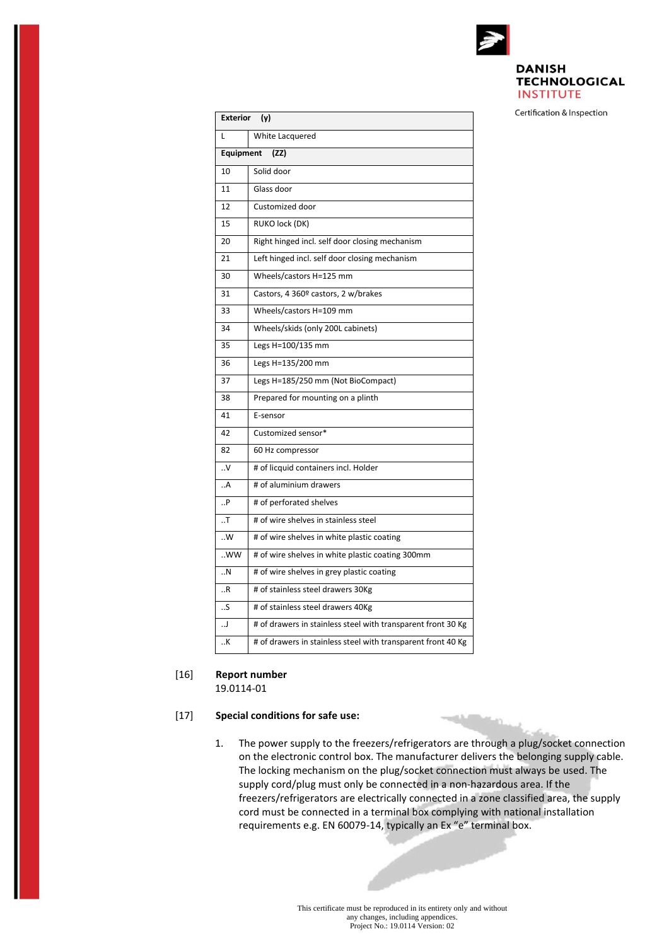

#### **DANISH TECHNOLOGICAL INSTITUTE**

Certification & Inspection

| Exterior (y)  |                                                              |  |  |
|---------------|--------------------------------------------------------------|--|--|
| L             | White Lacquered                                              |  |  |
| Equipment     | (ZZ)                                                         |  |  |
| 10            | Solid door                                                   |  |  |
| 11            | Glass door                                                   |  |  |
| 12            | Customized door                                              |  |  |
| 15            | RUKO lock (DK)                                               |  |  |
| 20            | Right hinged incl. self door closing mechanism               |  |  |
| 21            | Left hinged incl. self door closing mechanism                |  |  |
| 30            | Wheels/castors H=125 mm                                      |  |  |
| 31            | Castors, 4 360º castors, 2 w/brakes                          |  |  |
| 33            | Wheels/castors H=109 mm                                      |  |  |
| 34            | Wheels/skids (only 200L cabinets)                            |  |  |
| 35            | Legs H=100/135 mm                                            |  |  |
| 36            | Legs H=135/200 mm                                            |  |  |
| 37            | Legs H=185/250 mm (Not BioCompact)                           |  |  |
| 38            | Prepared for mounting on a plinth                            |  |  |
| 41            | E-sensor                                                     |  |  |
| 42            | Customized sensor*                                           |  |  |
| 82            | 60 Hz compressor                                             |  |  |
| . V           | # of licquid containers incl. Holder                         |  |  |
| A             | # of aluminium drawers                                       |  |  |
| . P           | # of perforated shelves                                      |  |  |
| $\cdot$ . T   | # of wire shelves in stainless steel                         |  |  |
| ${\cdot\!.}W$ | # of wire shelves in white plastic coating                   |  |  |
| WW            | # of wire shelves in white plastic coating 300mm             |  |  |
| . N           | # of wire shelves in grey plastic coating                    |  |  |
| . R           | # of stainless steel drawers 30Kg                            |  |  |
| S             | # of stainless steel drawers 40Kg                            |  |  |
| ل             | # of drawers in stainless steel with transparent front 30 Kg |  |  |
| K             | # of drawers in stainless steel with transparent front 40 Kg |  |  |

### [16] **Report number**

19.0114-01

#### [17] **Special conditions for safe use:**

1. The power supply to the freezers/refrigerators are through a plug/socket connection on the electronic control box. The manufacturer delivers the belonging supply cable. The locking mechanism on the plug/socket connection must always be used. The supply cord/plug must only be connected in a non-hazardous area. If the freezers/refrigerators are electrically connected in a zone classified area, the supply cord must be connected in a terminal box complying with national installation requirements e.g. EN 60079-14, typically an Ex "e" terminal box.

**TOOLS AND** 

This certificate must be reproduced in its entirety only and without any changes, including appendices. Project No.: 19.0114 Version: 02